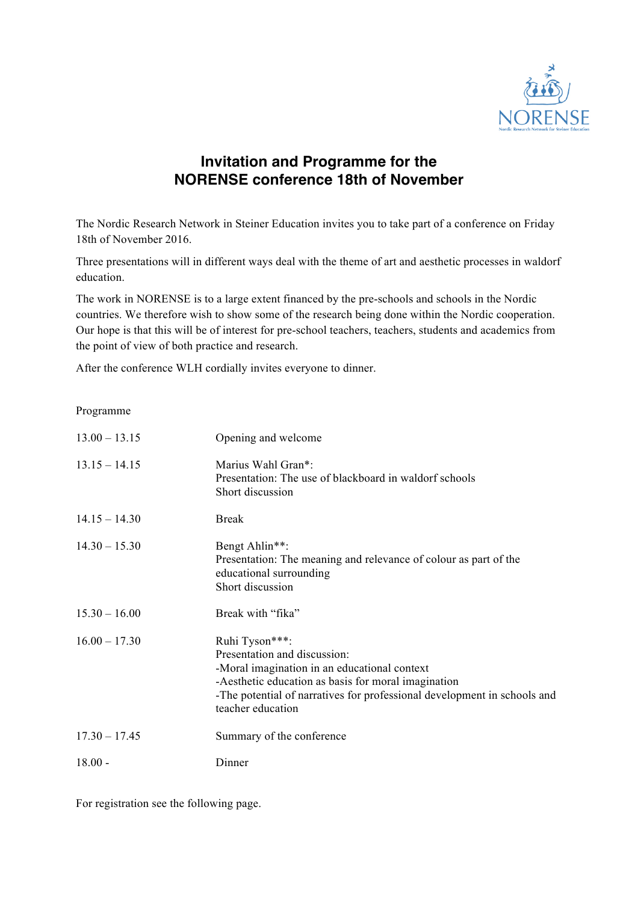

## **Invitation and Programme for the NORENSE conference 18th of November**

The Nordic Research Network in Steiner Education invites you to take part of a conference on Friday 18th of November 2016.

Three presentations will in different ways deal with the theme of art and aesthetic processes in waldorf education.

The work in NORENSE is to a large extent financed by the pre-schools and schools in the Nordic countries. We therefore wish to show some of the research being done within the Nordic cooperation. Our hope is that this will be of interest for pre-school teachers, teachers, students and academics from the point of view of both practice and research.

After the conference WLH cordially invites everyone to dinner.

Programme

| $13.00 - 13.15$ | Opening and welcome                                                                                                                                                                                                                                    |
|-----------------|--------------------------------------------------------------------------------------------------------------------------------------------------------------------------------------------------------------------------------------------------------|
| $13.15 - 14.15$ | Marius Wahl Gran*:<br>Presentation: The use of blackboard in waldorf schools<br>Short discussion                                                                                                                                                       |
| $14.15 - 14.30$ | <b>Break</b>                                                                                                                                                                                                                                           |
| $14.30 - 15.30$ | Bengt Ahlin**:<br>Presentation: The meaning and relevance of colour as part of the<br>educational surrounding<br>Short discussion                                                                                                                      |
| $15.30 - 16.00$ | Break with "fika"                                                                                                                                                                                                                                      |
| $16.00 - 17.30$ | Ruhi Tyson***:<br>Presentation and discussion:<br>-Moral imagination in an educational context<br>-Aesthetic education as basis for moral imagination<br>-The potential of narratives for professional development in schools and<br>teacher education |
| $17.30 - 17.45$ | Summary of the conference                                                                                                                                                                                                                              |
| $18.00 -$       | Dinner                                                                                                                                                                                                                                                 |

For registration see the following page.